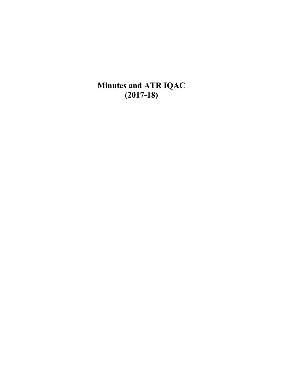**Minutes and ATR IQAC (2017-18)**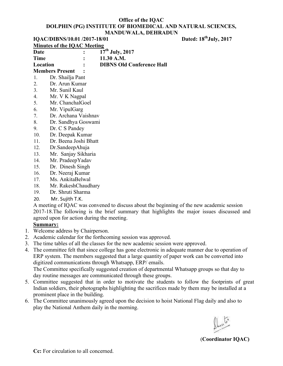|             | Dated: 18 <sup>th</sup> July, 2017<br>IQAC/DIBNS/10.01 /2017-18/01                         |
|-------------|--------------------------------------------------------------------------------------------|
|             | <b>Minutes of the IQAC Meeting</b>                                                         |
| Date        | $\overline{17}$ <sup>th</sup> July, 2017                                                   |
| <b>Time</b> | 11.30 A.M.                                                                                 |
| Location    | <b>DIBNS Old Conference Hall</b>                                                           |
|             | <b>Members Present</b>                                                                     |
| 1.          | Dr. Shailja Pant                                                                           |
| 2.          | Dr. Arun Kumar                                                                             |
| 3.          | Mr. Sunil Kaul                                                                             |
| 4.          | Mr. V K Nagpal                                                                             |
| 5.          | Mr. ChanchalGoel                                                                           |
| 6.          | Mr. VipulGarg                                                                              |
| 7.          | Dr. Archana Vaishnav                                                                       |
| 8.          | Dr. Sandhya Goswami                                                                        |
| 9.          | Dr. C S Pandey                                                                             |
| 10.         | Dr. Deepak Kumar                                                                           |
| 11.         | Dr. Beena Joshi Bhatt                                                                      |
| 12.         | Dr.SandeepAhuja                                                                            |
| 13.         | Mr. Sanjay Sikharia                                                                        |
| 14.         | Mr. PradeepYadav                                                                           |
| 15.         | Dr. Dinesh Singh                                                                           |
| 16.         | Dr. Neeraj Kumar                                                                           |
| 17.         | Ms. AnkitaBelwal                                                                           |
| 18.         | Mr. RakeshChaudhary                                                                        |
| 19.         | Dr. Shruti Sharma                                                                          |
| 20.         | Mr. Sujith T.K.                                                                            |
|             | A meeting of IQAC was convened to discuss about the beginning of the new academic session  |
|             | 2017-18. The following is the brief summary that highlights the major issues discussed and |
|             | agreed upon for action during the meeting.                                                 |

#### **Summary:**

- 1. Welcome address by Chairperson.
- 2. Academic calendar for the forthcoming session was approved.
- 3. The time tables of all the classes for the new academic session were approved.
- 4. The committee felt that since college has gone electronic in adequate manner due to operation of ERP system. The members suggested that a large quantity of paper work can be converted into digitized communications through Whatsapp, ERP/ emails.

day routine messages are communicated through these groups. The Committee specifically suggested creation of departmental Whatsapp groups so that day to

- 5. Committee suggested that in order to motivate the students to follow the footprints of great Indian soldiers, their photographs highlighting the sacrifices made by them may be installed at a prominent place in the building.
- 6. The Committee unanimously agreed upon the decision to hoist National Flag daily and also to play the National Anthem daily in the morning.

(**Coordinator IQAC)**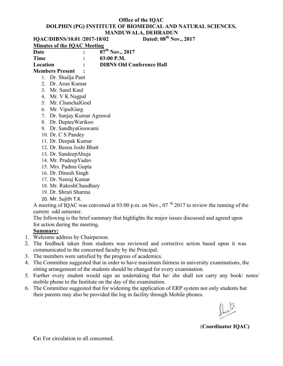**IQAC/DIBNS/10.01 /2017-18/02** 

**Minutes of the IQAC Meeting Date : 07th Nov., 2017 Time : 03:00 P.M.** 

**Location : DIBNS Old Conference Hall** 

**Members Present :** 

- 1. Dr. Shailja Pant
- 2. Dr. Arun Kumar
- 3. Mr. Sunil Kaul
- 4. Mr. V K Nagpal
- 5. Mr. ChanchalGoel
- 6. Mr. VipulGarg
- 7. Dr. Sanjay Kumar Agrawal
- 8. Dr. DepteeWarikoo
- 9. Dr. SandhyaGoswami
- 10. Dr. C S Pandey
- 11. Dr. Deepak Kumar
- 12. Dr. Beena Joshi Bhatt
- 13. Dr. SandeepAhuja
- 14. Mr. PradeepYadav
- 15. Mrs. Padma Gupta
- 16. Dr. Dinesh Singh
- 17. Dr. Neeraj Kumar
- 18. Mr. RakeshChaudhary
- 19. Dr. Shruti Sharma
- 20. Mr. Sujith T.K.

A meeting of IQAC was convened at  $03:00$  p.m. on Nov.,  $07<sup>th</sup> 2017$  to review the running of the current odd semester.

The following is the brief summary that highlights the major issues discussed and agreed upon for action during the meeting.

### **Summary:**

- 1. Welcome address by Chairperson.
- 2. The feedback taken from students was reviewed and corrective action based upon it was communicated to the concerned faculty by the Principal.
- 3. The members were satisfied by the progress of academics.
- 4. The Committee suggested that in order to have maximum fairness in university examinations, the sitting arrangement of the students should be changed for every examination.
- 5. Further every student would sign an undertaking that he/ she shall not carry any book/ notes/ mobile phone to the Institute on the day of the examination.
- 6. The Committee suggested that for widening the application of ERP system not only students but their parents may also be provided the log in facility through Mobile phones.

(**Coordinator IQAC)**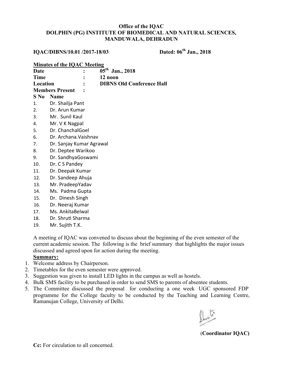## **IQAC/DIBNS/10.01 /2017-18/03 Dated: 06th Jan., 2018**

### **Minutes of the IQAC Meeting**

| Date     |                        | $\mathbf{L}$ | $05^{\text{th}}$ Jan., 2018      |
|----------|------------------------|--------------|----------------------------------|
| Time     |                        |              | 12 noon                          |
| Location |                        | $\mathbf{r}$ | <b>DIBNS Old Conference Hall</b> |
|          | <b>Members Present</b> | $\mathbf{r}$ |                                  |
|          | <b>S</b> No Name       |              |                                  |
| 1.       | Dr. Shailja Pant       |              |                                  |

- 2. Dr. Arun Kumar
- 3. Mr. Sunil Kaul
- 4. Mr. V K Nagpal
- 5. Dr. ChanchalGoel
- 6. Dr. Archana.Vaishnav
- 7. Dr. Sanjay Kumar Agrawal
- 8. Dr. Deptee Warikoo
- 9. Dr. SandhyaGoswami
- 10. Dr. C S Pandey
- 11. Dr. Deepak Kumar
- 12. Dr. Sandeep Ahuja
- 13. Mr. PradeepYadav
- 14. Ms. Padma Gupta
- 15. Dr. Dinesh Singh
- 16. Dr. Neeraj Kumar
- 17. Ms. AnkitaBelwal
- 18. Dr. Shruti Sharma
- 19. Mr. Sujith T.K.

A meeting of IQAC was convened to discuss about the beginning of the even semester of the current academic session. The following is the brief summary that highlights the major issues discussed and agreed upon for action during the meeting.

### **Summary:**

- 1. Welcome address by Chairperson.
- 2. Timetables for the even semester were approved.
- 3. Suggestion was given to install LED lights in the campus as well as hostels.
- 4. Bulk SMS facility to be purchased in order to send SMS to parents of absentee students.
- 5. The Committee discussed the proposal for conducting a one week UGC sponsored FDP programme for the College faculty to be conducted by the Teaching and Learning Centre, Ramanujan College, University of Delhi.

(**Coordinator IQAC)**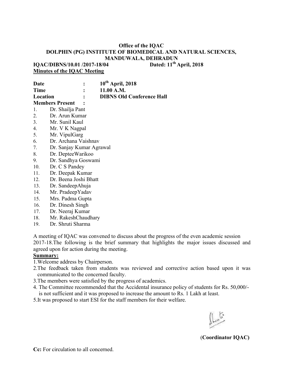**IOAC/DIBNS/10.01 /2017-18/04 Minutes of the IQAC Meeting** 

**Date : 10th April, 2018 Time : 11.00 A.M. Location : DIBNS Old Conference Hall Members Present :**  1. Dr. Shailja Pant

- 2. Dr. Arun Kumar
- 3. Mr. Sunil Kaul
- 4. Mr. V K Nagpal
- 5. Mr. VipulGarg
- 6. Dr. Archana Vaishnav
- 7. Dr. Sanjay Kumar Agrawal
- 8. Dr. DepteeWarikoo
- 9. Dr. Sandhya Goswami
- 10. Dr. C S Pandey
- 11. Dr. Deepak Kumar
- 12. Dr. Beena Joshi Bhatt
- 13. Dr. SandeepAhuja
- 14. Mr. PradeepYadav
- 15. Mrs. Padma Gupta
- 16. Dr. Dinesh Singh
- 17. Dr. Neeraj Kumar
- 18. Mr. RakeshChaudhary
- 19. Dr. Shruti Sharma

A meeting of IQAC was convened to discuss about the progress of the even academic session 2017-18.The following is the brief summary that highlights the major issues discussed and agreed upon for action during the meeting.

#### **Summary:**

1.Welcome address by Chairperson.

- 2.The feedback taken from students was reviewed and corrective action based upon it was communicated to the concerned faculty.
- 3.The members were satisfied by the progress of academics.
- 4. The Committee recommended that the Accidental insurance policy of students for Rs. 50,000/ is not sufficient and it was proposed to increase the amount to Rs. 1 Lakh at least.
- 5.It was proposed to start ESI for the staff members for their welfare.

(**Coordinator IQAC)**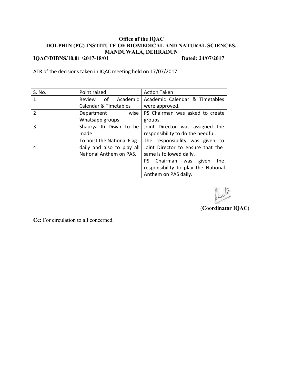### **Office of the IQAC DOLPHIN (PG) INSTITUTE OF BIOMEDICAL AND NATURAL SCIENCES, MANDUWALA, DEHRADUN IQAC/DIBNS/10.01 /2017-18/01** Dated: 24/07/2017

ATR of the decisions taken in IQAC meeting held on 17/07/2017

| S. No.         | Point raised                     | <b>Action Taken</b>                 |
|----------------|----------------------------------|-------------------------------------|
| 1              | Review of<br>Academic            | Academic Calendar & Timetables      |
|                | <b>Calendar &amp; Timetables</b> | were approved.                      |
| $\overline{2}$ | wise<br>Department               | PS Chairman was asked to create     |
|                | Whatsapp groups                  | groups.                             |
| 3              | Shaurya Ki Diwar to be           | Joint Director was assigned the     |
|                | made                             | responsibility to do the needful.   |
|                | To hoist the National Flag       | The responsibility was given to     |
| 4              | daily and also to play all       | Joint Director to ensure that the   |
|                | National Anthem on PAS.          | same is followed daily.             |
|                |                                  | PS Chairman was given<br>the        |
|                |                                  | responsibility to play the National |
|                |                                  | Anthem on PAS daily.                |

(**Coordinator IQAC)**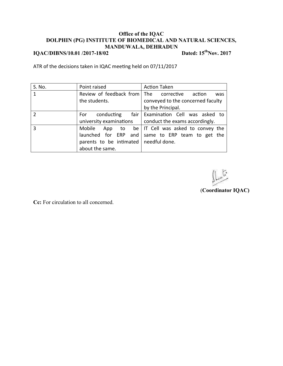# **IQAC/DIBNS/10.01 /2017-18/02** Dated: 15<sup>th</sup>Nov. 2017

ATR of the decisions taken in IQAC meeting held on 07/11/2017

| S. No.         | Point raised                            | <b>Action Taken</b>                         |
|----------------|-----------------------------------------|---------------------------------------------|
| $\mathbf{1}$   | Review of feedback from                 | The corrective action<br>was                |
|                | the students.                           | conveyed to the concerned faculty           |
|                |                                         | by the Principal.                           |
| $\overline{2}$ | conducting<br>For:                      | fair Examination Cell was asked to          |
|                | university examinations                 | conduct the exams accordingly.              |
| 3              | Mobile                                  | App to be   IT Cell was asked to convey the |
|                | launched for ERP and                    | same to ERP team to get the                 |
|                | parents to be intimated   needful done. |                                             |
|                | about the same.                         |                                             |

 $\overline{\mathcal{G}}$ 

(**Coordinator IQAC)**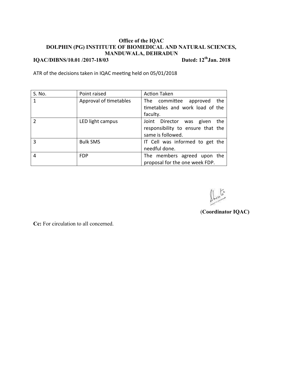### **Office of the IQAC DOLPHIN (PG) INSTITUTE OF BIOMEDICAL AND NATURAL SCIENCES, MANDUWALA, DEHRADUN IQAC/DIBNS/10.01 /2017-18/03** Dated: 12<sup>th</sup>**Jan. 2018**

ATR of the decisions taken in IQAC meeting held on 05/01/2018

| S. No.        | Point raised           | <b>Action Taken</b>               |
|---------------|------------------------|-----------------------------------|
|               | Approval of timetables | The committee approved<br>the     |
|               |                        | timetables and work load of the   |
|               |                        | faculty.                          |
| $\mathcal{P}$ | LED light campus       | Joint Director was given<br>the   |
|               |                        | responsibility to ensure that the |
|               |                        | same is followed.                 |
| 3             | <b>Bulk SMS</b>        | IT Cell was informed to get the   |
|               |                        | needful done.                     |
| 4             | <b>FDP</b>             | The members agreed upon the       |
|               |                        | proposal for the one week FDP.    |

 $-45$ 

(**Coordinator IQAC)**